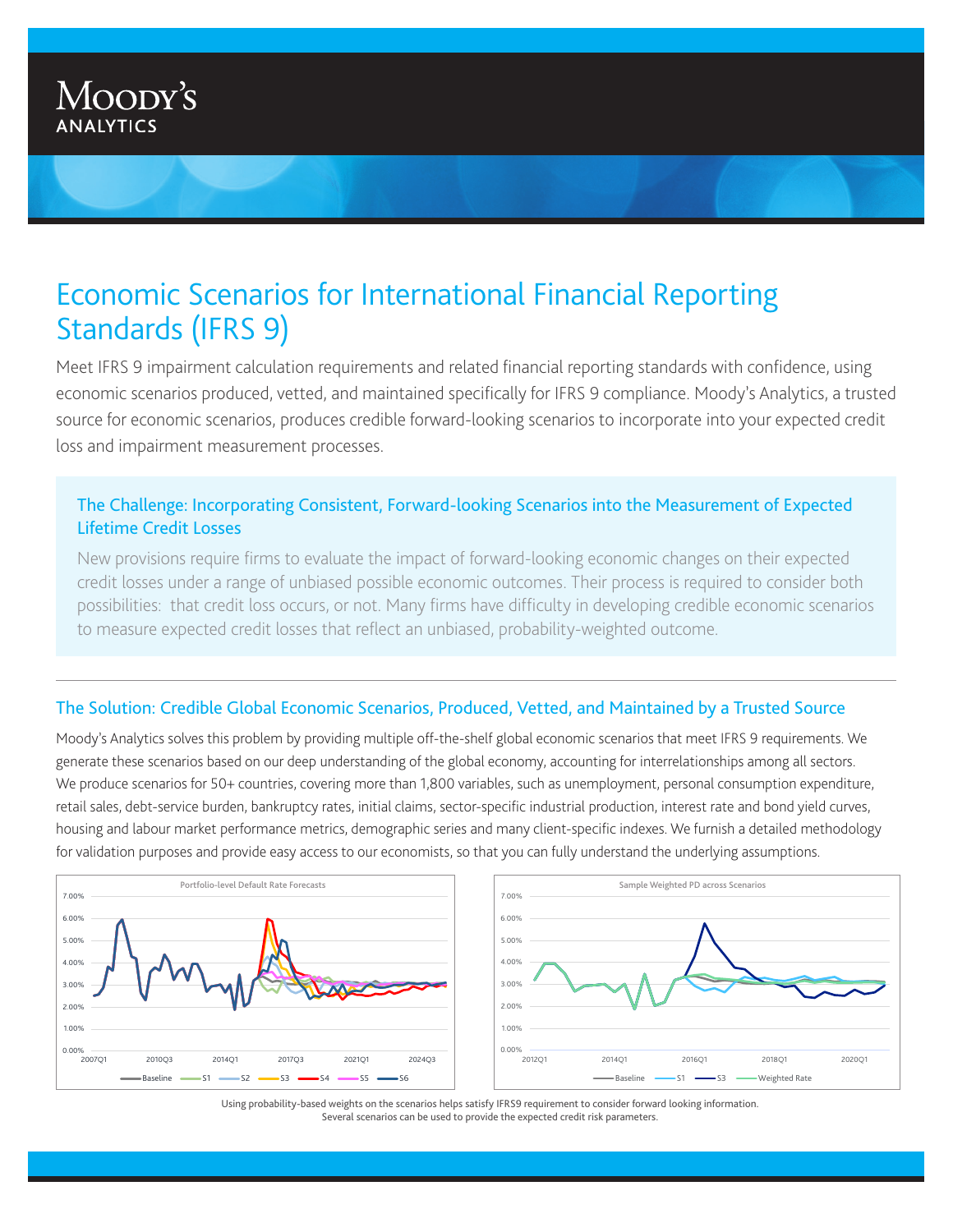# Economic Scenarios for International Financial Reporting Standards (IFRS 9)

Meet IFRS 9 impairment calculation requirements and related financial reporting standards with confidence, using economic scenarios produced, vetted, and maintained specifically for IFRS 9 compliance. Moody's Analytics, a trusted source for economic scenarios, produces credible forward-looking scenarios to incorporate into your expected credit loss and impairment measurement processes.

## The Challenge: Incorporating Consistent, Forward-looking Scenarios into the Measurement of Expected Lifetime Credit Losses

New provisions require firms to evaluate the impact of forward-looking economic changes on their expected credit losses under a range of unbiased possible economic outcomes. Their process is required to consider both possibilities: that credit loss occurs, or not. Many firms have difficulty in developing credible economic scenarios to measure expected credit losses that reflect an unbiased, probability-weighted outcome.

## The Solution: Credible Global Economic Scenarios, Produced, Vetted, and Maintained by a Trusted Source

Moody's Analytics solves this problem by providing multiple off-the-shelf global economic scenarios that meet IFRS 9 requirements. We generate these scenarios based on our deep understanding of the global economy, accounting for interrelationships among all sectors. We produce scenarios for 50+ countries, covering more than 1,800 variables, such as unemployment, personal consumption expenditure, retail sales, debt-service burden, bankruptcy rates, initial claims, sector-specific industrial production, interest rate and bond yield curves, housing and labour market performance metrics, demographic series and many client-specific indexes. We furnish a detailed methodology for validation purposes and provide easy access to our economists, so that you can fully understand the underlying assumptions.



Using probability-based weights on the scenarios helps satisfy IFRS9 requirement to consider forward looking information. Several scenarios can be used to provide the expected credit risk parameters.